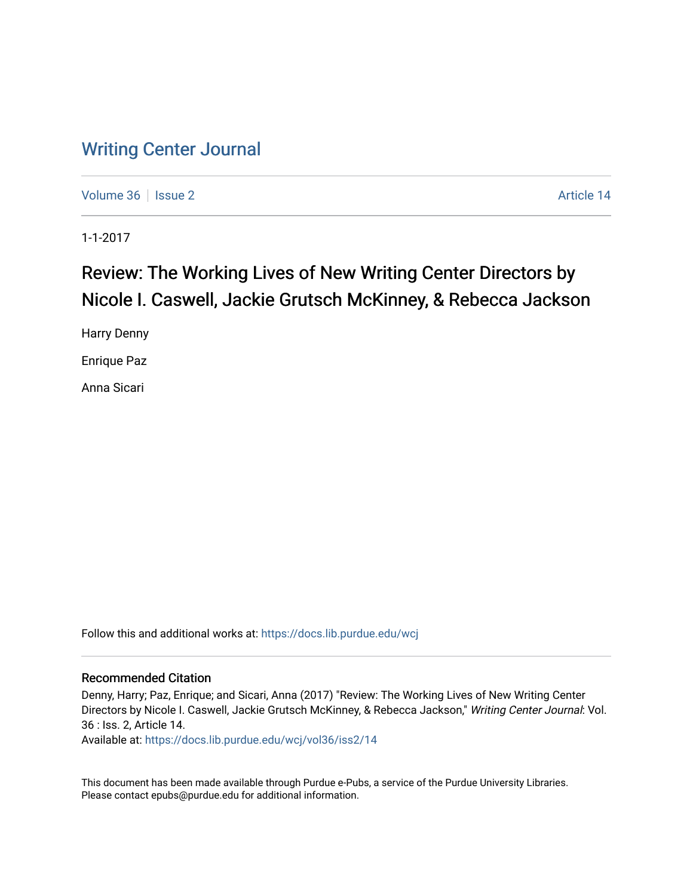## [Writing Center Journal](https://docs.lib.purdue.edu/wcj)

[Volume 36](https://docs.lib.purdue.edu/wcj/vol36) | [Issue 2](https://docs.lib.purdue.edu/wcj/vol36/iss2) Article 14

1-1-2017

# Review: The Working Lives of New Writing Center Directors by Nicole I. Caswell, Jackie Grutsch McKinney, & Rebecca Jackson

Harry Denny

Enrique Paz

Anna Sicari

Follow this and additional works at: [https://docs.lib.purdue.edu/wcj](https://docs.lib.purdue.edu/wcj?utm_source=docs.lib.purdue.edu%2Fwcj%2Fvol36%2Fiss2%2F14&utm_medium=PDF&utm_campaign=PDFCoverPages) 

## Recommended Citation

Denny, Harry; Paz, Enrique; and Sicari, Anna (2017) "Review: The Working Lives of New Writing Center Directors by Nicole I. Caswell, Jackie Grutsch McKinney, & Rebecca Jackson," Writing Center Journal: Vol. 36 : Iss. 2, Article 14.

Available at: [https://docs.lib.purdue.edu/wcj/vol36/iss2/14](https://docs.lib.purdue.edu/wcj/vol36/iss2/14?utm_source=docs.lib.purdue.edu%2Fwcj%2Fvol36%2Fiss2%2F14&utm_medium=PDF&utm_campaign=PDFCoverPages)

This document has been made available through Purdue e-Pubs, a service of the Purdue University Libraries. Please contact epubs@purdue.edu for additional information.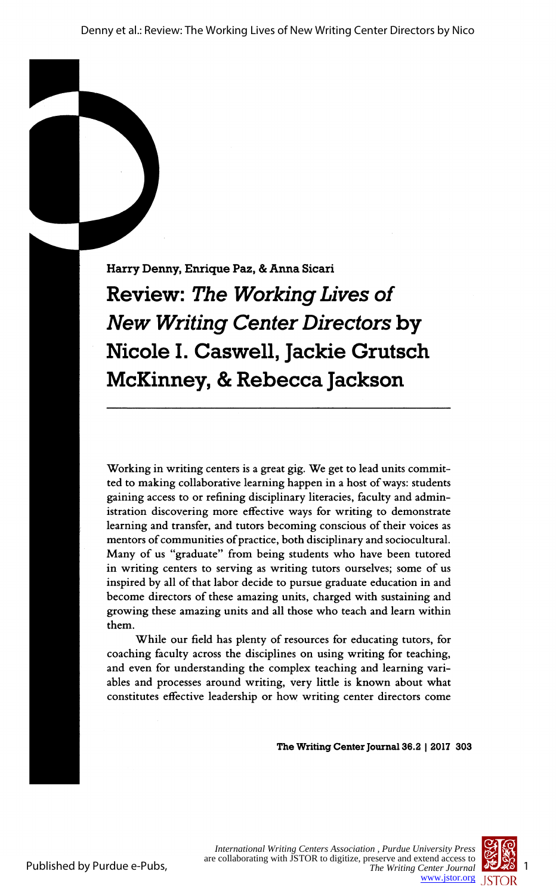Harry Denny, Enrique Paz, & Anna Sicari

 Review: The Working Lives of New Writing Center Directors by Nicole I. Caswell, Jackie Grutsch McKinney, & Rebecca Jackson

 Working in writing centers is a great gig. We get to lead units commit ted to making collaborative learning happen in a host of ways: students gaining access to or refining disciplinary literacies, faculty and admin istration discovering more effective ways for writing to demonstrate learning and transfer, and tutors becoming conscious of their voices as mentors of communities of practice, both disciplinary and sociocultural. Many of us "graduate" from being students who have been tutored in writing centers to serving as writing tutors ourselves; some of us inspired by all of that labor decide to pursue graduate education in and become directors of these amazing units, charged with sustaining and growing these amazing units and all those who teach and learn within

 While our field has plenty of resources for educating tutors, for coaching faculty across the disciplines on using writing for teaching, and even for understanding the complex teaching and learning vari ables and processes around writing, very little is known about what constitutes effective leadership or how writing center directors come

The Writing Center Journal 36.2 | 2017 303

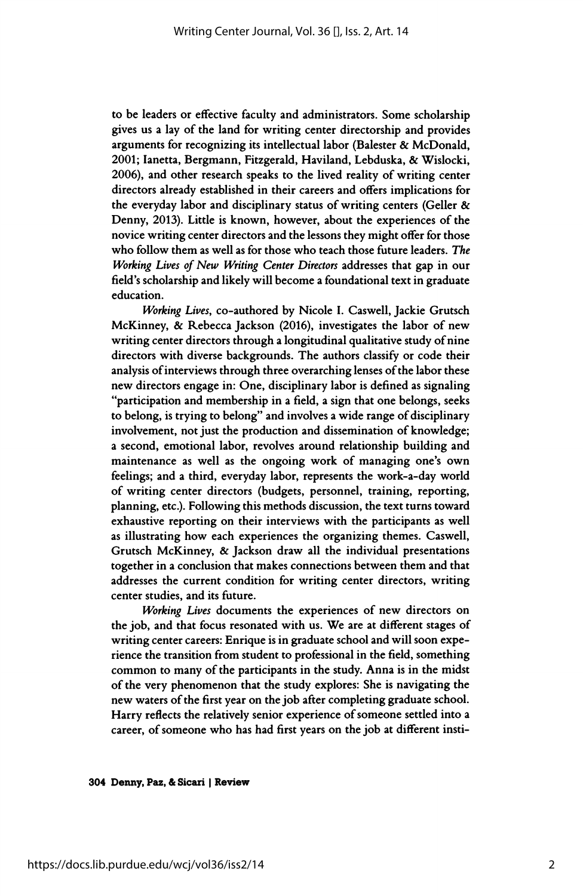to be leaders or effective faculty and administrators. Some scholarship gives us a lay of the land for writing center directorship and provides arguments for recognizing its intellectual labor (Balester & McDonald, 2001; lanetta, Bergmann, Fitzgerald, Haviland, Lebduska, & Wislocki, 2006), and other research speaks to the lived reality of writing center directors already established in their careers and offers implications for the everyday labor and disciplinary status of writing centers (Geller & Denny, 2013). Little is known, however, about the experiences of the novice writing center directors and the lessons they might offer for those who follow them as well as for those who teach those future leaders. The Working Lives of New Writing Center Directors addresses that gap in our field's scholarship and likely will become a foundational text in graduate education.

Working Lives, co-authored by Nicole I. Caswell, Jackie Grutsch McKinney, & Rebecca Jackson (2016), investigates the labor of new writing center directors through a longitudinal qualitative study of nine directors with diverse backgrounds. The authors classify or code their analysis of interviews through three overarching lenses of the labor these new directors engage in: One, disciplinary labor is defined as signaling "participation and membership in a field, a sign that one belongs, seeks to belong, is trying to belong" and involves a wide range of disciplinary involvement, not just the production and dissemination of knowledge; a second, emotional labor, revolves around relationship building and maintenance as well as the ongoing work of managing one's own feelings; and a third, everyday labor, represents the work-a-day world of writing center directors (budgets, personnel, training, reporting, planning, etc.). Following this methods discussion, the text turns toward exhaustive reporting on their interviews with the participants as well as illustrating how each experiences the organizing themes. Caswell, Grutsch McKinney, & Jackson draw all the individual presentations together in a conclusion that makes connections between them and that addresses the current condition for writing center directors, writing center studies, and its future.

 Working Lives documents the experiences of new directors on the job, and that focus resonated with us. We are at different stages of writing center careers: Enrique is in graduate school and will soon expe rience the transition from student to professional in the field, something common to many of the participants in the study. Anna is in the midst of the very phenomenon that the study explores: She is navigating the new waters of the first year on the job after completing graduate school. Harry reflects the relatively senior experience of someone settled into a career, of someone who has had first years on the job at different insti-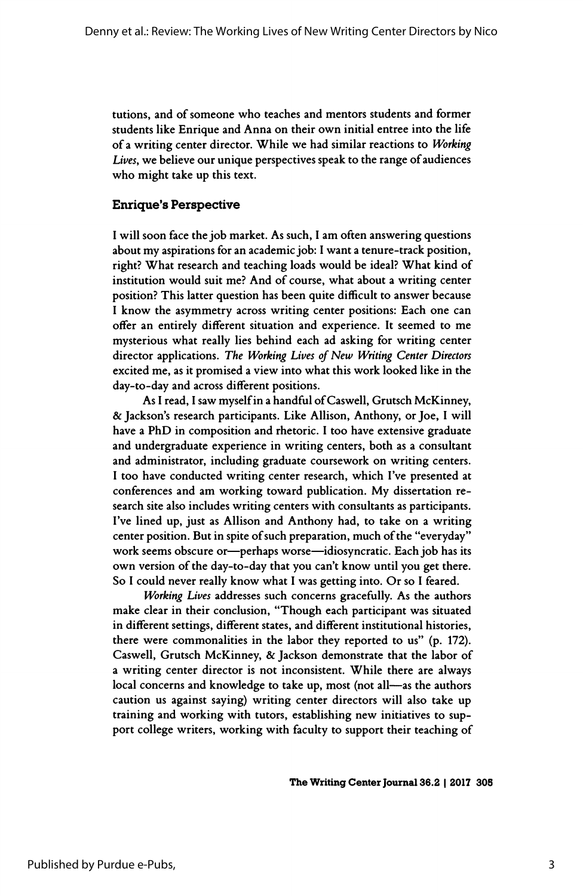tutions, and of someone who teaches and mentors students and former students like Enrique and Anna on their own initial entree into the life of a writing center director. While we had similar reactions to Working Lives, we believe our unique perspectives speak to the range of audiences who might take up this text.

## Enrique's Perspective

 I will soon face the job market. As such, I am often answering questions about my aspirations for an academic job: I want a tenure-track position, right? What research and teaching loads would be ideal? What kind of institution would suit me? And of course, what about a writing center position? This latter question has been quite difficult to answer because I know the asymmetry across writing center positions: Each one can offer an entirely different situation and experience. It seemed to me mysterious what really lies behind each ad asking for writing center director applications. The Working Lives of New Writing Center Directors excited me, as it promised a view into what this work looked like in the day-to-day and across different positions.

 As I read, I saw myself in a handful of Caswell, Grutsch McKinney, & Jackson's research participants. Like Allison, Anthony, or Joe, I will have a PhD in composition and rhetoric. I too have extensive graduate and undergraduate experience in writing centers, both as a consultant and administrator, including graduate coursework on writing centers. I too have conducted writing center research, which I've presented at conferences and am working toward publication. My dissertation re search site also includes writing centers with consultants as participants. I've lined up, just as Allison and Anthony had, to take on a writing center position. But in spite of such preparation, much of the "everyday" work seems obscure or-perhaps worse-idiosyncratic. Each job has its own version of the day-to-day that you can't know until you get there. So I could never really know what I was getting into. Or so I feared.

 Working Lives addresses such concerns gracefully. As the authors make clear in their conclusion, "Though each participant was situated in different settings, different states, and different institutional histories, there were commonalities in the labor they reported to us" (p. 172). Caswell, Grutsch McKinney, & Jackson demonstrate that the labor of a writing center director is not inconsistent. While there are always local concerns and knowledge to take up, most (not all-as the authors caution us against saying) writing center directors will also take up training and working with tutors, establishing new initiatives to sup port college writers, working with faculty to support their teaching of

The Writing Center Journal 36.2 | 2017 305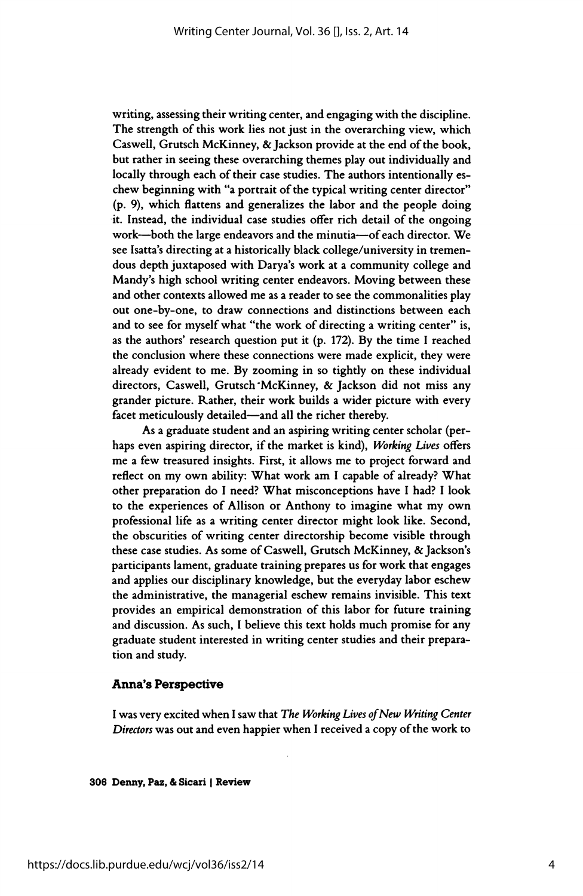writing, assessing their writing center, and engaging with the discipline. The strength of this work lies not just in the overarching view, which Caswell, Grutsch McKinney, & Jackson provide at the end of the book, but rather in seeing these overarching themes play out individually and locally through each of their case studies. The authors intentionally es chew beginning with "a portrait of the typical writing center director" (p. 9), which flattens and generalizes the labor and the people doing it. Instead, the individual case studies offer rich detail of the ongoing work—both the large endeavors and the minutia—of each director. We see Isatta's directing at a historically black college/university in tremen dous depth juxtaposed with Darya's work at a community college and Mandy's high school writing center endeavors. Moving between these and other contexts allowed me as a reader to see the commonalities play out one-by-one, to draw connections and distinctions between each and to see for myself what "the work of directing a writing center" is, as the authors' research question put it (p. 172). By the time I reached the conclusion where these connections were made explicit, they were already evident to me. By zooming in so tightly on these individual directors, Caswell, Grutsch "McKinney, & Jackson did not miss any grander picture. Rather, their work builds a wider picture with every facet meticulously detailed—and all the richer thereby.

 As a graduate student and an aspiring writing center scholar (per haps even aspiring director, if the market is kind), Working Lives offers me a few treasured insights. First, it allows me to project forward and reflect on my own ability: What work am I capable of already? What other preparation do I need? What misconceptions have I had? I look to the experiences of Allison or Anthony to imagine what my own professional life as a writing center director might look like. Second, the obscurities of writing center directorship become visible through these case studies. As some of Caswell, Grutsch McKinney, & Jackson's participants lament, graduate training prepares us for work that engages and applies our disciplinary knowledge, but the everyday labor eschew the administrative, the managerial eschew remains invisible. This text provides an empirical demonstration of this labor for future training and discussion. As such, I believe this text holds much promise for any graduate student interested in writing center studies and their prepara tion and study.

#### Anna's Perspective

 I was very excited when I saw that The Working Lives of New Writing Center Directors was out and even happier when I received a copy of the work to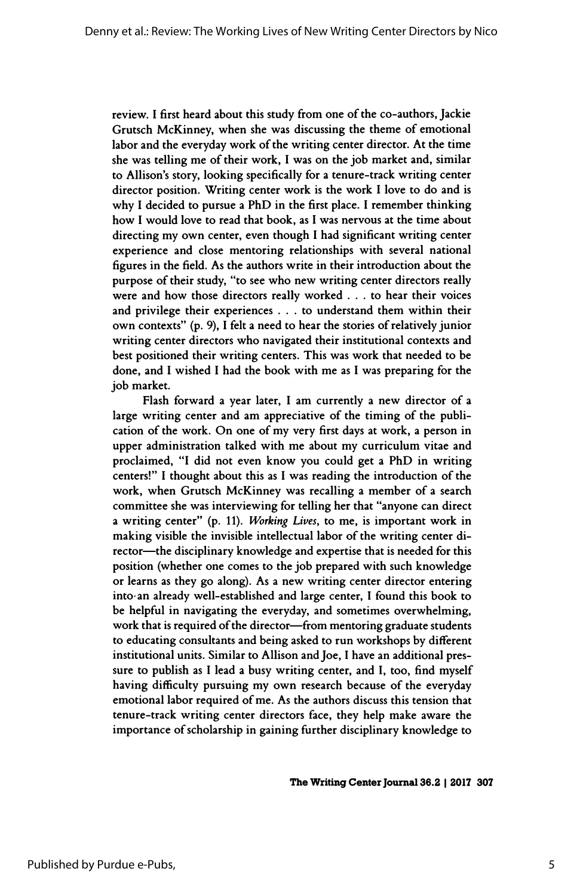review. I first heard about this study from one of the co-authors, Jackie Grutsch McKinney, when she was discussing the theme of emotional labor and the everyday work of the writing center director. At the time she was telling me of their work, I was on the job market and, similar to Allison's story, looking specifically for a tenure-track writing center director position. Writing center work is the work I love to do and is why I decided to pursue a PhD in the first place. I remember thinking how I would love to read that book, as I was nervous at the time about directing my own center, even though I had significant writing center experience and close mentoring relationships with several national figures in the field. As the authors write in their introduction about the purpose of their study, "to see who new writing center directors really were and how those directors really worked ... to hear their voices and privilege their experiences ... to understand them within their own contexts" (p. 9), I felt a need to hear the stories of relatively junior writing center directors who navigated their institutional contexts and best positioned their writing centers. This was work that needed to be done, and I wished I had the book with me as I was preparing for the job market.

 Flash forward a year later, I am currently a new director of a large writing center and am appreciative of the timing of the publi cation of the work. On one of my very first days at work, a person in upper administration talked with me about my curriculum vitae and proclaimed, "I did not even know you could get a PhD in writing centers!" I thought about this as I was reading the introduction of the work, when Grutsch McKinney was recalling a member of a search committee she was interviewing for telling her that "anyone can direct a writing center" (p. 11). Working Lives, to me, is important work in making visible the invisible intellectual labor of the writing center di rector—the disciplinary knowledge and expertise that is needed for this position (whether one comes to the job prepared with such knowledge or learns as they go along). As a new writing center director entering into- an already well-established and large center, I found this book to be helpful in navigating the everyday, and sometimes overwhelming, work that is required of the director-from mentoring graduate students to educating consultants and being asked to run workshops by different institutional units. Similar to Allison and Joe, I have an additional pres sure to publish as I lead a busy writing center, and I, too, find myself having difficulty pursuing my own research because of the everyday emotional labor required of me. As the authors discuss this tension that tenure-track writing center directors face, they help make aware the importance of scholarship in gaining further disciplinary knowledge to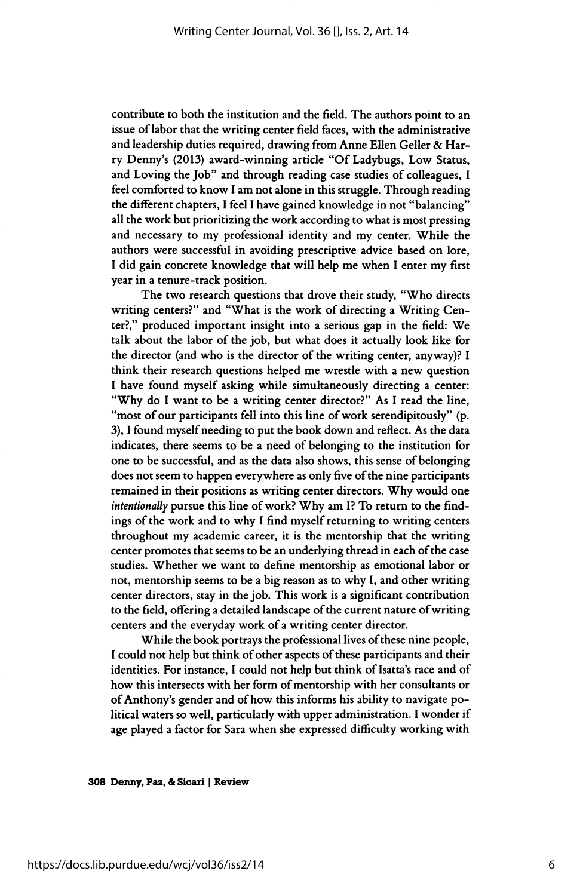contribute to both the institution and the field. The authors point to an issue of labor that the writing center field faces, with the administrative and leadership duties required, drawing from Anne Ellen Geller & Har ry Denny's (2013) award-winning article "Of Ladybugs, Low Status, and Loving the Job" and through reading case studies of colleagues, I feel comforted to know I am not alone in this struggle. Through reading the different chapters, I feel I have gained knowledge in not "balancing" all the work but prioritizing the work according to what is most pressing and necessary to my professional identity and my center. While the authors were successful in avoiding prescriptive advice based on lore, I did gain concrete knowledge that will help me when I enter my first year in a tenure-track position.

 The two research questions that drove their study, "Who directs writing centers?" and "What is the work of directing a Writing Cen ter?," produced important insight into a serious gap in the field: We talk about the labor of the job, but what does it actually look like for the director (and who is the director of the writing center, anyway)? I think their research questions helped me wrestle with a new question I have found myself asking while simultaneously directing a center: "Why do I want to be a writing center director?" As I read the line, "most of our participants fell into this line of work serendipitously" (p. 3), I found myself needing to put the book down and reflect. As the data indicates, there seems to be a need of belonging to the institution for one to be successful, and as the data also shows, this sense of belonging does not seem to happen everywhere as only five of the nine participants remained in their positions as writing center directors. Why would one intentionally pursue this line of work? Why am I? To return to the find ings of the work and to why I find myself returning to writing centers throughout my academic career, it is the mentorship that the writing center promotes that seems to be an underlying thread in each of the case studies. Whether we want to define mentorship as emotional labor or not, mentorship seems to be a big reason as to why I, and other writing center directors, stay in the job. This work is a significant contribution to the field, offering a detailed landscape of the current nature of writing centers and the everyday work of a writing center director.

 While the book portrays the professional lives of these nine people, I could not help but think of other aspects of these participants and their identities. For instance, I could not help but think of Isatta's race and of how this intersects with her form of mentorship with her consultants or of Anthony's gender and of how this informs his ability to navigate po litical waters so well, particularly with upper administration. I wonder if age played a factor for Sara when she expressed difficulty working with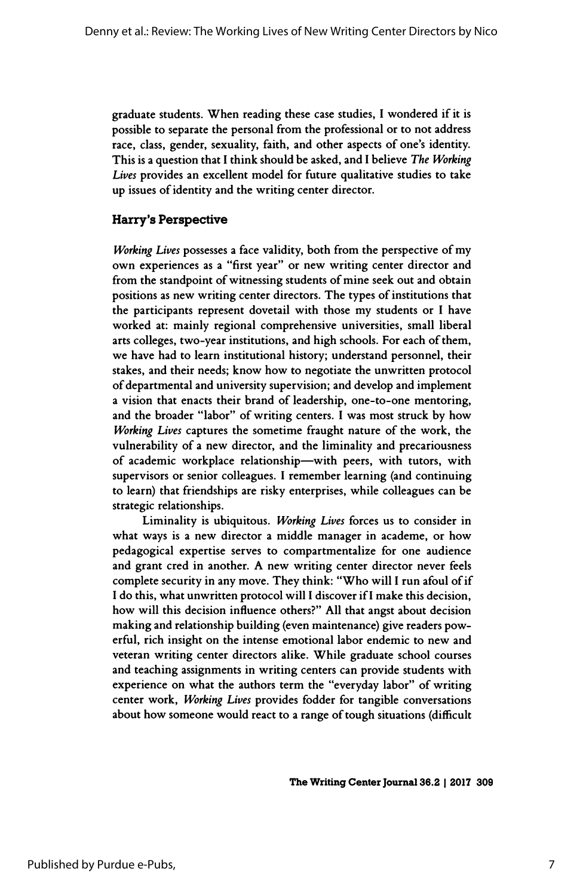graduate students. When reading these case studies, I wondered if it is possible to separate the personal from the professional or to not address race, class, gender, sexuality, faith, and other aspects of one's identity. This is a question that I think should be asked, and I believe The Working Lives provides an excellent model for future qualitative studies to take up issues of identity and the writing center director.

## Harry's Perspective

 Working Lives possesses a face validity, both from the perspective of my own experiences as a "first year" or new writing center director and from the standpoint of witnessing students of mine seek out and obtain positions as new writing center directors. The types of institutions that the participants represent dovetail with those my students or I have worked at: mainly regional comprehensive universities, small liberal arts colleges, two-year institutions, and high schools. For each of them, we have had to learn institutional history; understand personnel, their stakes, and their needs; know how to negotiate the unwritten protocol of departmental and university supervision; and develop and implement a vision that enacts their brand of leadership, one-to-one mentoring, and the broader "labor" of writing centers. I was most struck by how Working Lives captures the sometime fraught nature of the work, the vulnerability of a new director, and the liminality and precariousness of academic workplace relationship-with peers, with tutors, with supervisors or senior colleagues. I remember learning (and continuing to learn) that friendships are risky enterprises, while colleagues can be strategic relationships.

 Liminality is ubiquitous. Working Lives forces us to consider in what ways is a new director a middle manager in academe, or how pedagogical expertise serves to compartmentalize for one audience and grant cred in another. A new writing center director never feels complete security in any move. They think: "Who will I run afoul of if I do this, what unwritten protocol will I discover if I make this decision, how will this decision influence others?" All that angst about decision making and relationship building (even maintenance) give readers pow erful, rich insight on the intense emotional labor endemic to new and veteran writing center directors alike. While graduate school courses and teaching assignments in writing centers can provide students with experience on what the authors term the "everyday labor" of writing center work, Working Lives provides fodder for tangible conversations about how someone would react to a range of tough situations (difficult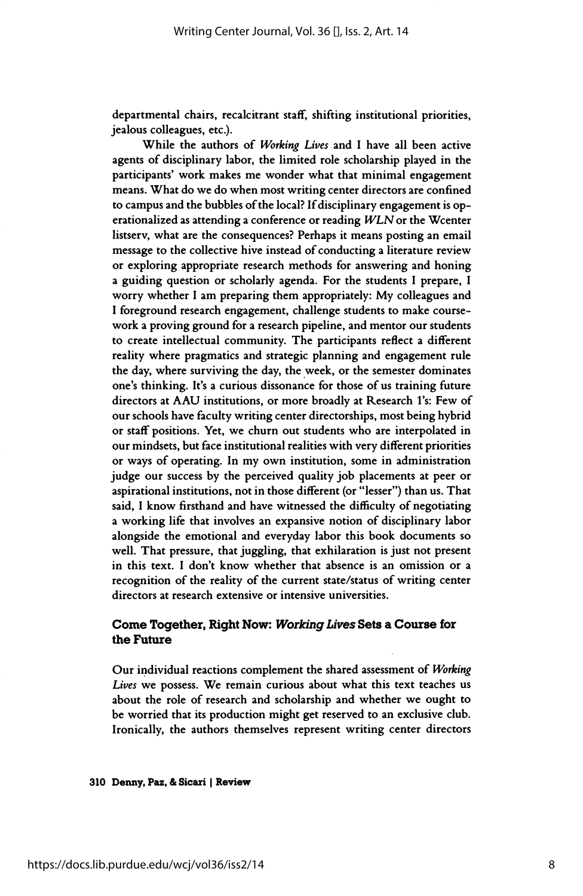departmental chairs, recalcitrant staff, shifting institutional priorities, jealous colleagues, etc.).

 While the authors of Working Lives and I have all been active agents of disciplinary labor, the limited role scholarship played in the participants' work makes me wonder what that minimal engagement means. What do we do when most writing center directors are confined to campus and the bubbles of the local? If disciplinary engagement is op erationalized as attending a conference or reading WLN or the Wcenter listserv, what are the consequences? Perhaps it means posting an email message to the collective hive instead of conducting a literature review or exploring appropriate research methods for answering and honing a guiding question or scholarly agenda. For the students I prepare, I worry whether I am preparing them appropriately: My colleagues and I foreground research engagement, challenge students to make course work a proving ground for a research pipeline, and mentor our students to create intellectual community. The participants reflect a different reality where pragmatics and strategic planning and engagement rule the day, where surviving the day, the week, or the semester dominates one's thinking. It's a curious dissonance for those of us training future directors at A AU institutions, or more broadly at Research l's: Few of our schools have faculty writing center directorships, most being hybrid or staff positions. Yet, we churn out students who are interpolated in our mindsets, but face institutional realities with very different priorities or ways of operating. In my own institution, some in administration judge our success by the perceived quality job placements at peer or aspirational institutions, not in those different (or "lesser") than us. That said, I know firsthand and have witnessed the difficulty of negotiating a working life that involves an expansive notion of disciplinary labor alongside the emotional and everyday labor this book documents so well. That pressure, that juggling, that exhilaration is just not present in this text. I don't know whether that absence is an omission or a recognition of the reality of the current state/status of writing center directors at research extensive or intensive universities.

### Come Together, Right Now: Working Lives Sets a Course for the Future

 Our individual reactions complement the shared assessment of Working Lives we possess. We remain curious about what this text teaches us about the role of research and scholarship and whether we ought to be worried that its production might get reserved to an exclusive club. Ironically, the authors themselves represent writing center directors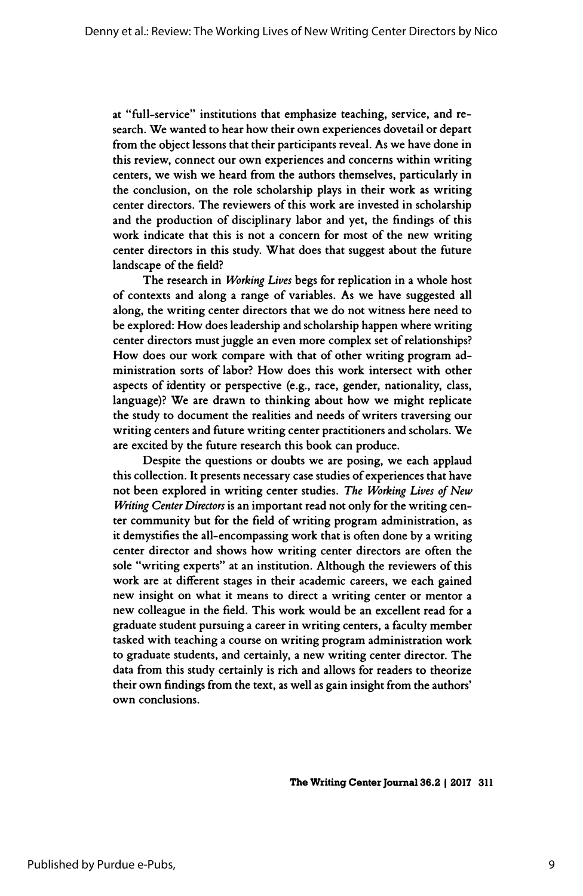at "full-service" institutions that emphasize teaching, service, and re search. We wanted to hear how their own experiences dovetail or depart from the object lessons that their participants reveal. As we have done in this review, connect our own experiences and concerns within writing centers, we wish we heard from the authors themselves, particularly in the conclusion, on the role scholarship plays in their work as writing center directors. The reviewers of this work are invested in scholarship and the production of disciplinary labor and yet, the findings of this work indicate that this is not a concern for most of the new writing center directors in this study. What does that suggest about the future landscape of the field?

The research in Working Lives begs for replication in a whole host of contexts and along a range of variables. As we have suggested all along, the writing center directors that we do not witness here need to be explored: How does leadership and scholarship happen where writing center directors must juggle an even more complex set of relationships? How does our work compare with that of other writing program ad ministration sorts of labor? How does this work intersect with other aspects of identity or perspective (e.g., race, gender, nationality, class, language)? We are drawn to thinking about how we might replicate the study to document the realities and needs of writers traversing our writing centers and future writing center practitioners and scholars. We are excited by the future research this book can produce.

 Despite the questions or doubts we are posing, we each applaud this collection. It presents necessary case studies of experiences that have not been explored in writing center studies. The Working Lives of New Writing Center Directors is an important read not only for the writing cen ter community but for the field of writing program administration, as it demystifies the all-encompassing work that is often done by a writing center director and shows how writing center directors are often the sole "writing experts" at an institution. Although the reviewers of this work are at different stages in their academic careers, we each gained new insight on what it means to direct a writing center or mentor a new colleague in the field. This work would be an excellent read for a graduate student pursuing a career in writing centers, a faculty member tasked with teaching a course on writing program administration work to graduate students, and certainly, a new writing center director. The data from this study certainly is rich and allows for readers to theorize their own findings from the text, as well as gain insight from the authors' own conclusions.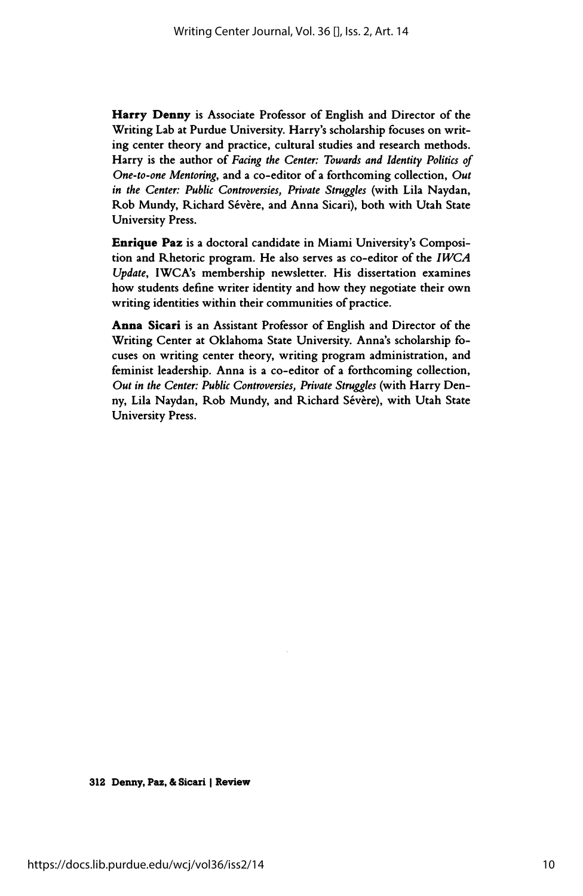Harry Denny is Associate Professor of English and Director of the Writing Lab at Purdue University. Harry's scholarship focuses on writ ing center theory and practice, cultural studies and research methods. Harry is the author of Facing the Center: Towards and Identity Politics of One-to-one Mentoring, and a co-editor of a forthcoming collection, Out in the Center: Public Controversies, Private Struggles (with Lila Naydan, Rob Mundy, Richard Sévère, and Anna Sicari), both with Utah State University Press.

 Enrique Paz is a doctoral candidate in Miami University's Composi tion and Rhetoric program. He also serves as co-editor of the IWCA Update, IWCA's membership newsletter. His dissertation examines how students define writer identity and how they negotiate their own writing identities within their communities of practice.

 Anna Sicari is an Assistant Professor of English and Director of the Writing Center at Oklahoma State University. Anna's scholarship fo cuses on writing center theory, writing program administration, and feminist leadership. Anna is a co-editor of a forthcoming collection, Out in the Center: Public Controversies, Private Struggles (with Harry Den ny, Lila Naydan, Rob Mundy, and Richard Sévère), with Utah State University Press.